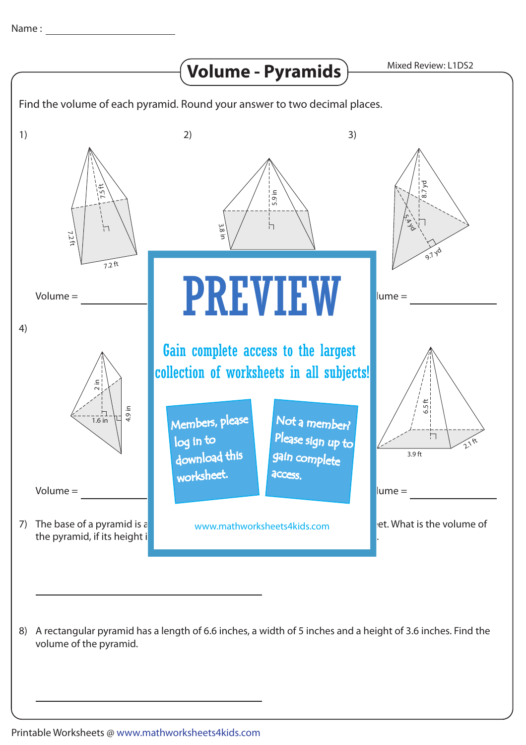